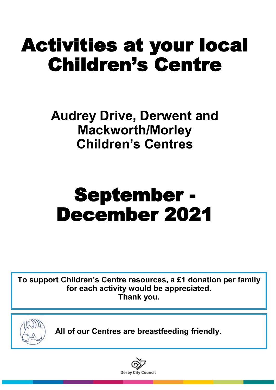# Activities at your local Children's Centre

**Audrey Drive, Derwent and Mackworth/Morley Children's Centres**

# September - December 2021

**To support Children's Centre resources, a £1 donation per family for each activity would be appreciated. Thank you.**



**All of our Centres are breastfeeding friendly.**

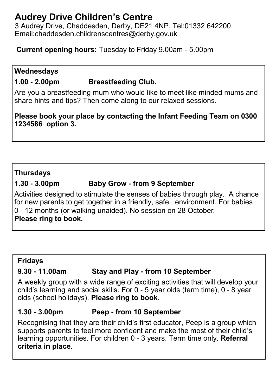## **Audrey Drive Children's Centre**

3 Audrey Drive, Chaddesden, Derby, DE21 4NP. Tel:01332 642200 Email:chaddesden.childrenscentres@derby.gov.uk

**Current opening hours:** Tuesday to Friday 9.00am - 5.00pm

#### **Wednesdays**

#### **1.00 - 2.00pm Breastfeeding Club.**

Are you a breastfeeding mum who would like to meet like minded mums and share hints and tips? Then come along to our relaxed sessions.

**Please book your place by contacting the Infant Feeding Team on 0300 1234586 option 3.** 

#### **Thursdays**

## **1.30 - 3.00pm Baby Grow - from 9 September**

Activities designed to stimulate the senses of babies through play. A chance for new parents to get together in a friendly, safe environment. For babies 0 - 12 months (or walking unaided). No session on 28 October. **Please ring to book.** 

### **Fridays**

## **9.30 - 11.00am Stay and Play - from 10 September**

A weekly group with a wide range of exciting activities that will develop your child's learning and social skills. For 0 - 5 year olds (term time), 0 - 8 year olds (school holidays). **Please ring to book**.

### **1.30 - 3.00pm Peep - from 10 September**

Recognising that they are their child's first educator, Peep is a group which supports parents to feel more confident and make the most of their child's learning opportunities. For children 0 - 3 years. Term time only. **Referral criteria in place.**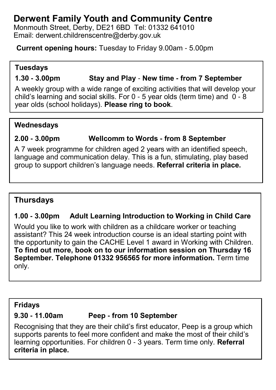## **Derwent Family Youth and Community Centre**

Monmouth Street, Derby, DE21 6BD Tel: 01332 641010 Email: derwent.childrenscentre@derby.gov.uk

**Current opening hours:** Tuesday to Friday 9.00am - 5.00pm

#### **Tuesdays**

### **1.30 - 3.00pm Stay and Play** - **New time - from 7 September**

A weekly group with a wide range of exciting activities that will develop your child's learning and social skills. For 0 - 5 year olds (term time) and 0 - 8 year olds (school holidays). **Please ring to book**.

#### **Wednesdays**

## **2.00 - 3.00pm Wellcomm to Words - from 8 September**

A 7 week programme for children aged 2 years with an identified speech, language and communication delay. This is a fun, stimulating, play based group to support children's language needs. **Referral criteria in place.** 

### **Thursdays**

### **1.00 - 3.00pm Adult Learning Introduction to Working in Child Care**

Would you like to work with children as a childcare worker or teaching assistant? This 24 week introduction course is an ideal starting point with the opportunity to gain the CACHE Level 1 award in Working with Children. **To find out more, book on to our information session on Thursday 16 September. Telephone 01332 956565 for more information.** Term time only.

#### **Fridays**

### **9.30 - 11.00am Peep - from 10 September**

Recognising that they are their child's first educator, Peep is a group which supports parents to feel more confident and make the most of their child's learning opportunities. For children 0 - 3 years. Term time only. **Referral criteria in place.**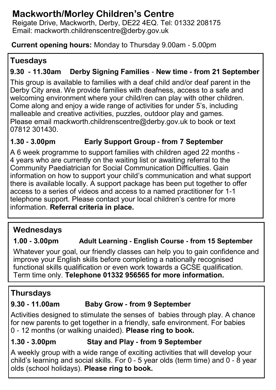## **Mackworth/Morley Children's Centre**

Reigate Drive, Mackworth, Derby, DE22 4EQ. Tel: 01332 208175 Email: mackworth.childrenscentre@derby.gov.uk

## **Current opening hours:** Monday to Thursday 9.00am - 5.00pm

## **Tuesdays**

## **9.30 - 11.30am Derby Signing Families** - **New time - from 21 September**

This group is available to families with a deaf child and/or deaf parent in the Derby City area. We provide families with deafness, access to a safe and welcoming environment where your child/ren can play with other children. Come along and enjoy a wide range of activities for under 5's, including malleable and creative activities, puzzles, outdoor play and games. Please email mackworth.childrenscentre@derby.gov.uk to book or text 07812 301430.

## **1.30 - 3.00pm Early Support Group - from 7 September**

A 6 week programme to support families with children aged 22 months - 4 years who are currently on the waiting list or awaiting referral to the Community Paediatrician for Social Communication Difficulties. Gain information on how to support your child's communication and what support there is available locally. A support package has been put together to offer access to a series of videos and access to a named practitioner for 1-1 telephone support. Please contact your local children's centre for more information. **Referral criteria in place.** 

## **Wednesdays**

## **1.00 - 3.00pm Adult Learning - English Course - from 15 September**

Whatever your goal, our friendly classes can help you to gain confidence and improve your English skills before completing a nationally recognised functional skills qualification or even work towards a GCSE qualification. Term time only. **Telephone 01332 956565 for more information.**

## **Thursdays**

## **9.30 - 11.00am Baby Grow - from 9 September**

Activities designed to stimulate the senses of babies through play. A chance for new parents to get together in a friendly, safe environment. For babies 0 - 12 months (or walking unaided). **Please ring to book.** 

## **1.30 - 3.00pm Stay and Play - from 9 September**

A weekly group with a wide range of exciting activities that will develop your child's learning and social skills. For 0 - 5 year olds (term time) and 0 - 8 year olds (school holidays). **Please ring to book.**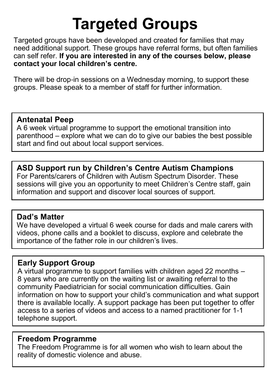# **Targeted Groups**

Targeted groups have been developed and created for families that may need additional support. These groups have referral forms, but often families can self refer. **If you are interested in any of the courses below, please contact your local children's centre.** 

There will be drop-in sessions on a Wednesday morning, to support these groups. Please speak to a member of staff for further information.

## **Antenatal Peep**

A 6 week virtual programme to support the emotional transition into parenthood – explore what we can do to give our babies the best possible start and find out about local support services.

## **ASD Support run by Children's Centre Autism Champions**

For Parents/carers of Children with Autism Spectrum Disorder. These sessions will give you an opportunity to meet Children's Centre staff, gain information and support and discover local sources of support.

## **Dad's Matter**

We have developed a virtual 6 week course for dads and male carers with videos, phone calls and a booklet to discuss, explore and celebrate the importance of the father role in our children's lives.

## **Early Support Group**

A virtual programme to support families with children aged 22 months – 8 years who are currently on the waiting list or awaiting referral to the community Paediatrician for social communication difficulties. Gain information on how to support your child's communication and what support there is available locally. A support package has been put together to offer access to a series of videos and access to a named practitioner for 1-1 telephone support.

## **Freedom Programme**

The Freedom Programme is for all women who wish to learn about the reality of domestic violence and abuse.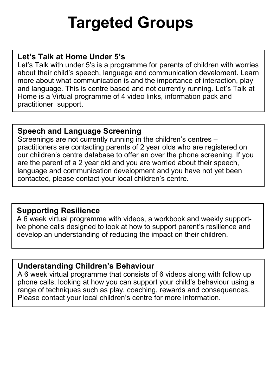# **Targeted Groups**

## **Let's Talk at Home Under 5's**

Let's Talk with under 5's is a programme for parents of children with worries about their child's speech, language and communication develoment. Learn more about what communication is and the importance of interaction, play and language. This is centre based and not currently running. Let's Talk at Home is a Virtual programme of 4 video links, information pack and practitioner support.

## **Speech and Language Screening**

Screenings are not currently running in the children's centres – practitioners are contacting parents of 2 year olds who are registered on our children's centre database to offer an over the phone screening. If you are the parent of a 2 year old and you are worried about their speech, language and communication development and you have not yet been contacted, please contact your local children's centre.

### **Supporting Resilience**

A 6 week virtual programme with videos, a workbook and weekly supportive phone calls designed to look at how to support parent's resilience and develop an understanding of reducing the impact on their children.

## **Understanding Children's Behaviour**

A 6 week virtual programme that consists of 6 videos along with follow up phone calls, looking at how you can support your child's behaviour using a range of techniques such as play, coaching, rewards and consequences. Please contact your local children's centre for more information.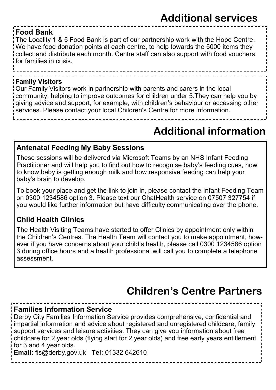#### **Food Bank**

The Locality 1 & 5 Food Bank is part of our partnership work with the Hope Centre. We have food donation points at each centre, to help towards the 5000 items they collect and distribute each month. Centre staff can also support with food vouchers for families in crisis.

**Family Visitors**

Our Family Visitors work in partnership with parents and carers in the local community, helping to improve outcomes for children under 5.They can help you by giving advice and support, for example, with children's behaviour or accessing other services. Please contact your local Children's Centre for more information.

**Additional information**

## **Antenatal Feeding My Baby Sessions**

These sessions will be delivered via Microsoft Teams by an NHS Infant Feeding Practitioner and will help you to find out how to recognise baby's feeding cues, how to know baby is getting enough milk and how responsive feeding can help your baby's brain to develop.

To book your place and get the link to join in, please contact the Infant Feeding Team on 0300 1234586 option 3. Please text our ChatHealth service on 07507 327754 if you would like further information but have difficulty communicating over the phone.

## **Child Health Clinics**

The Health Visiting Teams have started to offer Clinics by appointment only within the Children's Centres. The Health Team will contact you to make appointment, however if you have concerns about your child's health, please call 0300 1234586 option 3 during office hours and a health professional will call you to complete a telephone assessment.

## **Children's Centre Partners**

| <b>Families Information Service</b>                                                       |
|-------------------------------------------------------------------------------------------|
| Derby City Families Information Service provides comprehensive, confidential and          |
| impartial information and advice about registered and unregistered childcare, family      |
| support services and leisure activities. They can give you information about free         |
| childcare for 2 year olds (flying start for 2 year olds) and free early years entitlement |
| for 3 and 4 year olds.                                                                    |
| <b>Email:</b> fis@derby.gov.uk Tel: 01332 642610                                          |
|                                                                                           |